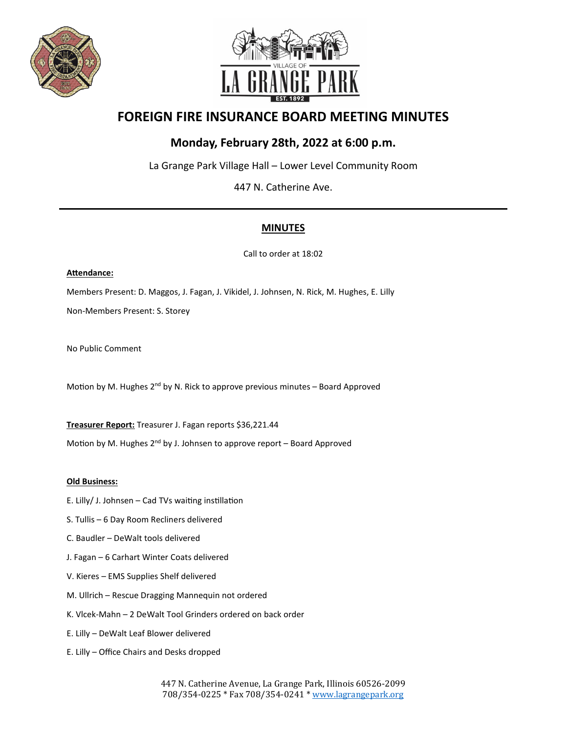



# **FOREIGN FIRE INSURANCE BOARD MEETING MINUTES**

## **Monday, February 28th, 2022 at 6:00 p.m.**

La Grange Park Village Hall – Lower Level Community Room

447 N. Catherine Ave.

### **MINUTES**

Call to order at 18:02

#### **Atendance:**

Members Present: D. Maggos, J. Fagan, J. Vikidel, J. Johnsen, N. Rick, M. Hughes, E. Lilly Non-Members Present: S. Storey

No Public Comment

Motion by M. Hughes  $2^{nd}$  by N. Rick to approve previous minutes – Board Approved

**Treasurer Report:** Treasurer J. Fagan reports \$36,221.44

Motion by M. Hughes  $2^{nd}$  by J. Johnsen to approve report – Board Approved

#### **Old Business:**

- E. Lilly/ J. Johnsen Cad TVs waiting instillation
- S. Tullis 6 Day Room Recliners delivered
- C. Baudler DeWalt tools delivered
- J. Fagan 6 Carhart Winter Coats delivered
- V. Kieres EMS Supplies Shelf delivered
- M. Ullrich Rescue Dragging Mannequin not ordered
- K. Vlcek-Mahn 2 DeWalt Tool Grinders ordered on back order
- E. Lilly DeWalt Leaf Blower delivered
- E. Lilly Office Chairs and Desks dropped